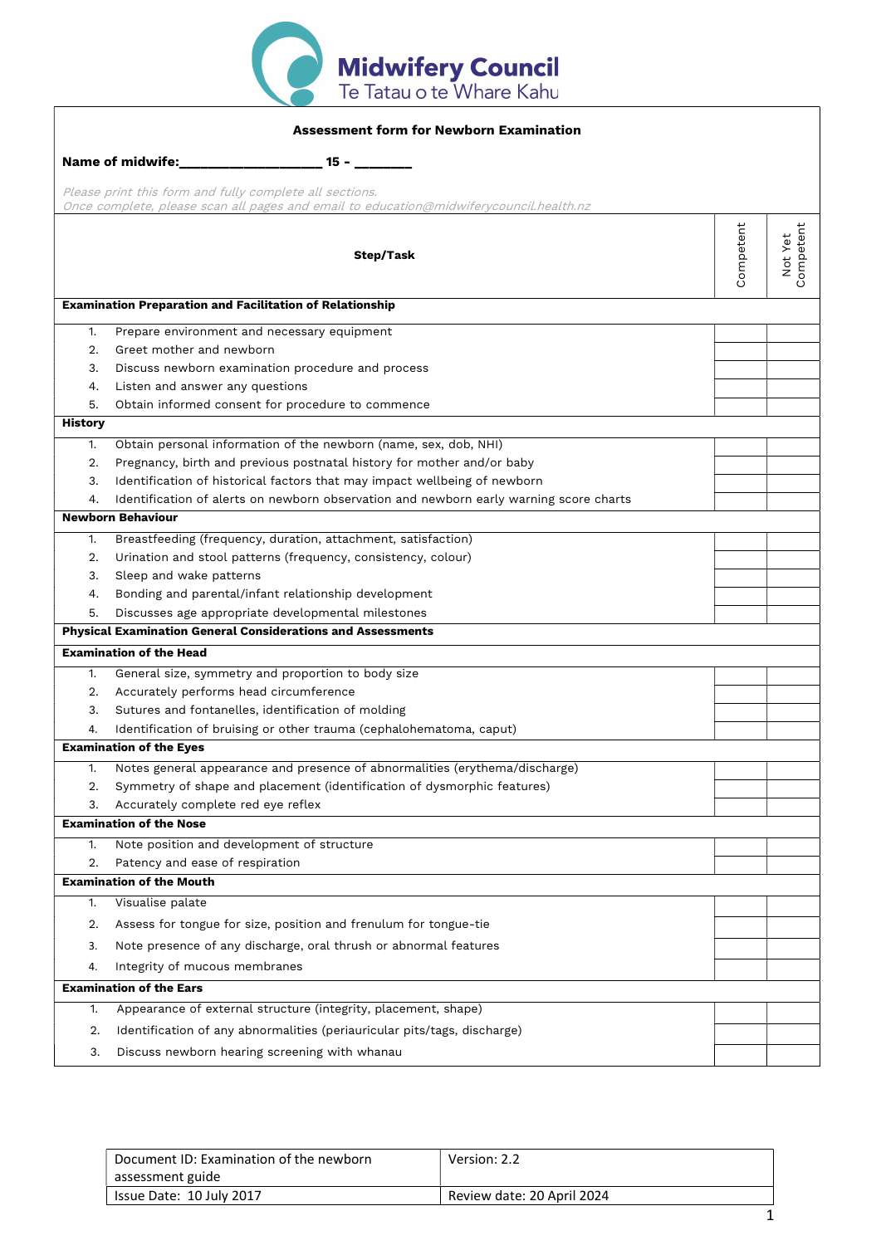

| <b>Assessment form for Newborn Examination</b>                                                                                                    |                                                                                        |           |                                |
|---------------------------------------------------------------------------------------------------------------------------------------------------|----------------------------------------------------------------------------------------|-----------|--------------------------------|
| Name of midwife:<br>$15 -$                                                                                                                        |                                                                                        |           |                                |
| Please print this form and fully complete all sections.<br>Once complete, please scan all pages and email to education@midwiferycouncil.health.nz |                                                                                        |           |                                |
|                                                                                                                                                   | Step/Task                                                                              | Competent | ompetent<br>Not Yet<br>$\circ$ |
|                                                                                                                                                   | <b>Examination Preparation and Facilitation of Relationship</b>                        |           |                                |
| 1.                                                                                                                                                | Prepare environment and necessary equipment                                            |           |                                |
| 2.                                                                                                                                                | Greet mother and newborn                                                               |           |                                |
| 3.                                                                                                                                                | Discuss newborn examination procedure and process                                      |           |                                |
| 4.                                                                                                                                                | Listen and answer any questions                                                        |           |                                |
| 5.                                                                                                                                                | Obtain informed consent for procedure to commence                                      |           |                                |
| <b>History</b>                                                                                                                                    |                                                                                        |           |                                |
| 1.                                                                                                                                                | Obtain personal information of the newborn (name, sex, dob, NHI)                       |           |                                |
| 2.                                                                                                                                                | Pregnancy, birth and previous postnatal history for mother and/or baby                 |           |                                |
| 3.                                                                                                                                                | Identification of historical factors that may impact wellbeing of newborn              |           |                                |
| 4.                                                                                                                                                | Identification of alerts on newborn observation and newborn early warning score charts |           |                                |
|                                                                                                                                                   | <b>Newborn Behaviour</b>                                                               |           |                                |
| 1.                                                                                                                                                | Breastfeeding (frequency, duration, attachment, satisfaction)                          |           |                                |
| 2.                                                                                                                                                | Urination and stool patterns (frequency, consistency, colour)                          |           |                                |
| 3.                                                                                                                                                | Sleep and wake patterns                                                                |           |                                |
| 4.                                                                                                                                                | Bonding and parental/infant relationship development                                   |           |                                |
| 5.                                                                                                                                                | Discusses age appropriate developmental milestones                                     |           |                                |
|                                                                                                                                                   | <b>Physical Examination General Considerations and Assessments</b>                     |           |                                |
|                                                                                                                                                   | <b>Examination of the Head</b>                                                         |           |                                |
| 1.                                                                                                                                                | General size, symmetry and proportion to body size                                     |           |                                |
| 2.                                                                                                                                                | Accurately performs head circumference                                                 |           |                                |
| 3.                                                                                                                                                | Sutures and fontanelles, identification of molding                                     |           |                                |
| 4.                                                                                                                                                | Identification of bruising or other trauma (cephalohematoma, caput)                    |           |                                |
|                                                                                                                                                   | <b>Examination of the Eyes</b>                                                         |           |                                |
|                                                                                                                                                   | Notes general appearance and presence of abnormalities (erythema/discharge)            |           |                                |
| 2.                                                                                                                                                | Symmetry of shape and placement (identification of dysmorphic features)                |           |                                |
| 3.                                                                                                                                                | Accurately complete red eye reflex                                                     |           |                                |
|                                                                                                                                                   | <b>Examination of the Nose</b>                                                         |           |                                |
| 1.                                                                                                                                                | Note position and development of structure                                             |           |                                |
| 2.                                                                                                                                                | Patency and ease of respiration                                                        |           |                                |
|                                                                                                                                                   | <b>Examination of the Mouth</b>                                                        |           |                                |
| 1.                                                                                                                                                | Visualise palate                                                                       |           |                                |
| 2.                                                                                                                                                | Assess for tongue for size, position and frenulum for tongue-tie                       |           |                                |
| 3.                                                                                                                                                | Note presence of any discharge, oral thrush or abnormal features                       |           |                                |
| 4.                                                                                                                                                | Integrity of mucous membranes                                                          |           |                                |
|                                                                                                                                                   | <b>Examination of the Ears</b>                                                         |           |                                |
|                                                                                                                                                   |                                                                                        |           |                                |
| 1.                                                                                                                                                | Appearance of external structure (integrity, placement, shape)                         |           |                                |
| 2.                                                                                                                                                | Identification of any abnormalities (periauricular pits/tags, discharge)               |           |                                |
| 3.                                                                                                                                                | Discuss newborn hearing screening with whanau                                          |           |                                |
|                                                                                                                                                   |                                                                                        |           |                                |

| Document ID: Examination of the newborn | Version: 2.2               |
|-----------------------------------------|----------------------------|
| assessment guide                        |                            |
| Issue Date: 10 July 2017                | Review date: 20 April 2024 |
|                                         |                            |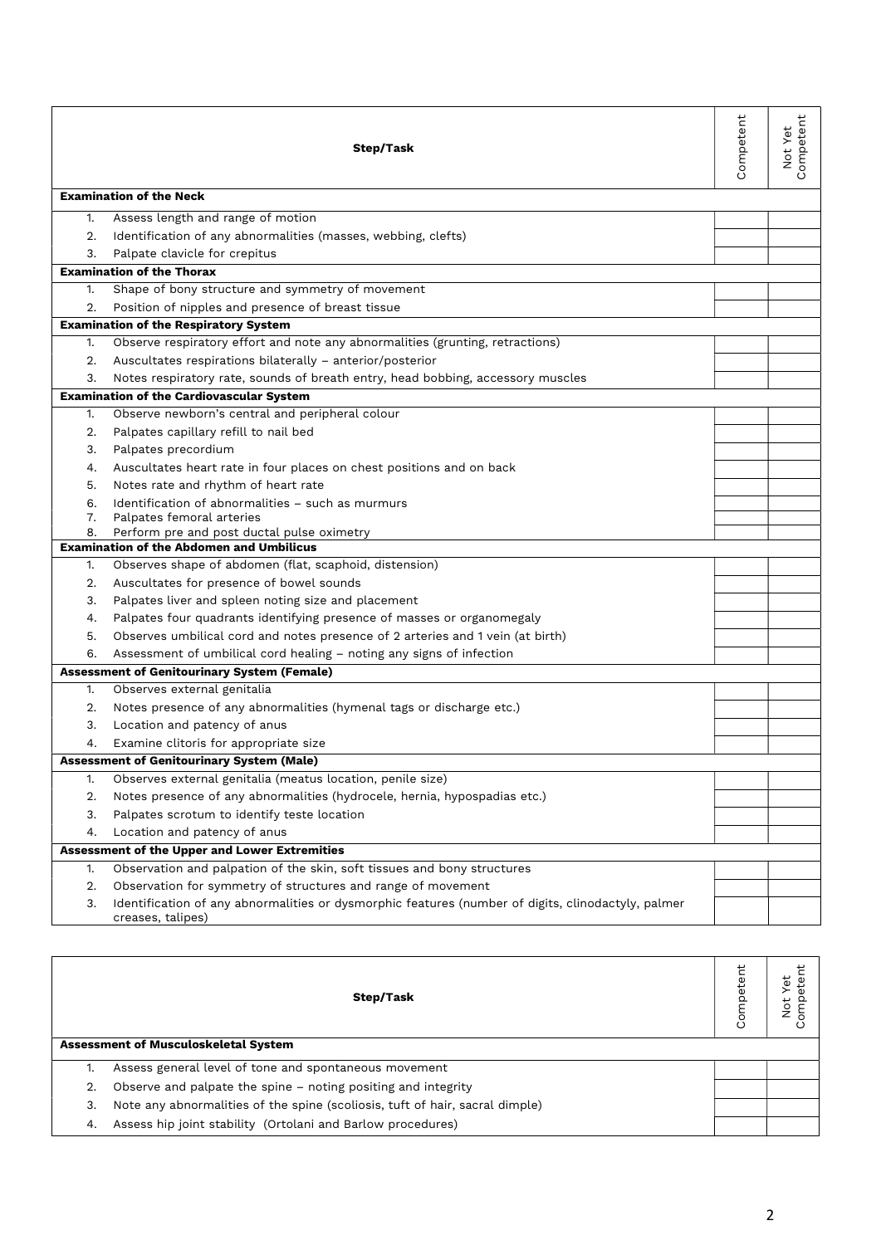|    | Step/Task                                                                                                               | Competent | Competent<br>Not Yet |
|----|-------------------------------------------------------------------------------------------------------------------------|-----------|----------------------|
|    | <b>Examination of the Neck</b>                                                                                          |           |                      |
| 1. | Assess length and range of motion                                                                                       |           |                      |
|    | 2. Identification of any abnormalities (masses, webbing, clefts)                                                        |           |                      |
| 3. | Palpate clavicle for crepitus                                                                                           |           |                      |
|    | <b>Examination of the Thorax</b>                                                                                        |           |                      |
| 1. | Shape of bony structure and symmetry of movement                                                                        |           |                      |
| 2. | Position of nipples and presence of breast tissue                                                                       |           |                      |
|    | <b>Examination of the Respiratory System</b>                                                                            |           |                      |
| 1. | Observe respiratory effort and note any abnormalities (grunting, retractions)                                           |           |                      |
| 2. | Auscultates respirations bilaterally - anterior/posterior                                                               |           |                      |
| 3. | Notes respiratory rate, sounds of breath entry, head bobbing, accessory muscles                                         |           |                      |
|    | <b>Examination of the Cardiovascular System</b>                                                                         |           |                      |
| 1. | Observe newborn's central and peripheral colour                                                                         |           |                      |
| 2. | Palpates capillary refill to nail bed                                                                                   |           |                      |
| 3. | Palpates precordium                                                                                                     |           |                      |
| 4. | Auscultates heart rate in four places on chest positions and on back                                                    |           |                      |
| 5. | Notes rate and rhythm of heart rate                                                                                     |           |                      |
| 6. | Identification of abnormalities - such as murmurs                                                                       |           |                      |
| 7. | Palpates femoral arteries                                                                                               |           |                      |
| 8. | Perform pre and post ductal pulse oximetry<br><b>Examination of the Abdomen and Umbilicus</b>                           |           |                      |
| 1. | Observes shape of abdomen (flat, scaphoid, distension)                                                                  |           |                      |
| 2. | Auscultates for presence of bowel sounds                                                                                |           |                      |
| 3. | Palpates liver and spleen noting size and placement                                                                     |           |                      |
| 4. | Palpates four quadrants identifying presence of masses or organomegaly                                                  |           |                      |
| 5. | Observes umbilical cord and notes presence of 2 arteries and 1 vein (at birth)                                          |           |                      |
| 6. | Assessment of umbilical cord healing - noting any signs of infection                                                    |           |                      |
|    | <b>Assessment of Genitourinary System (Female)</b>                                                                      |           |                      |
| 1. | Observes external genitalia                                                                                             |           |                      |
| 2. | Notes presence of any abnormalities (hymenal tags or discharge etc.)                                                    |           |                      |
|    | 3. Location and patency of anus                                                                                         |           |                      |
| 4. | Examine clitoris for appropriate size                                                                                   |           |                      |
|    | <b>Assessment of Genitourinary System (Male)</b>                                                                        |           |                      |
| 1. | Observes external genitalia (meatus location, penile size)                                                              |           |                      |
| 2. | Notes presence of any abnormalities (hydrocele, hernia, hypospadias etc.)                                               |           |                      |
| 3. | Palpates scrotum to identify teste location                                                                             |           |                      |
| 4. | Location and patency of anus                                                                                            |           |                      |
|    | <b>Assessment of the Upper and Lower Extremities</b>                                                                    |           |                      |
| 1. | Observation and palpation of the skin, soft tissues and bony structures                                                 |           |                      |
| 2. | Observation for symmetry of structures and range of movement                                                            |           |                      |
| 3. | Identification of any abnormalities or dysmorphic features (number of digits, clinodactyly, palmer<br>creases, talipes) |           |                      |

|                                             | Step/Task                                                                    | Competent | ٢<br>ť<br>به<br>Ć۵<br>ب<br>ġ |  |
|---------------------------------------------|------------------------------------------------------------------------------|-----------|------------------------------|--|
| <b>Assessment of Musculoskeletal System</b> |                                                                              |           |                              |  |
|                                             | Assess general level of tone and spontaneous movement                        |           |                              |  |
| 2.                                          | Observe and palpate the spine - noting positing and integrity                |           |                              |  |
| 3.                                          | Note any abnormalities of the spine (scoliosis, tuft of hair, sacral dimple) |           |                              |  |
| 4.                                          | Assess hip joint stability (Ortolani and Barlow procedures)                  |           |                              |  |